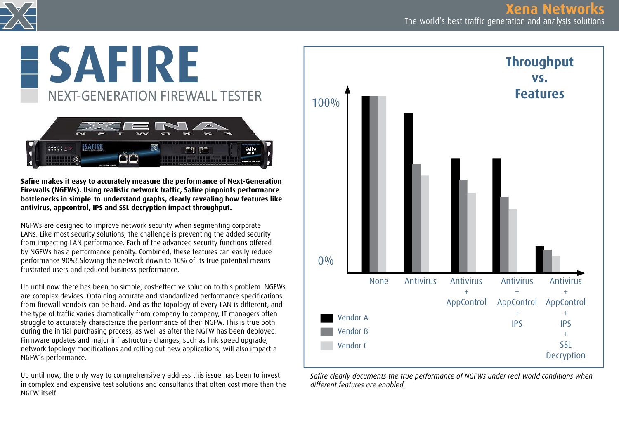

# SAFIRE NEXT-GENERATION FIREWALL TESTER



Safire makes it easy to accurately measure the performance of Next-Generation Firewalls (NGFWs). Using realistic network traffic, Safire pinpoints performance bottlenecks in simple-to-understand graphs, clearly revealing how features like antivirus, appcontrol, IPS and SSL decryption impact throughput.

NGFWs are designed to improve network security when segmenting corporate LANs. Like most security solutions, the challenge is preventing the added security from impacting LAN performance. Each of the advanced security functions offered by NGFWs has a performance penalty. Combined, these features can easily reduce performance 90%! Slowing the network down to 10% of its true potential means frustrated users and reduced business performance.

Up until now there has been no simple, cost-effective solution to this problem. NGFWs are complex devices. Obtaining accurate and standardized performance specifications from firewall vendors can be hard. And as the topology of every LAN is different, and the type of traffic varies dramatically from company to company, IT managers often struggle to accurately characterize the performance of their NGFW. This is true both during the initial purchasing process, as well as after the NGFW has been deployed. Firmware updates and major infrastructure changes, such as link speed upgrade, network topology modifications and rolling out new applications, will also impact a NGFW's performance.

Up until now, the only way to comprehensively address this issue has been to invest in complex and expensive test solutions and consultants that often cost more than the NGFW itself.



Safire clearly documents the true performance of NGFWs under real-world conditions when different features are enabled.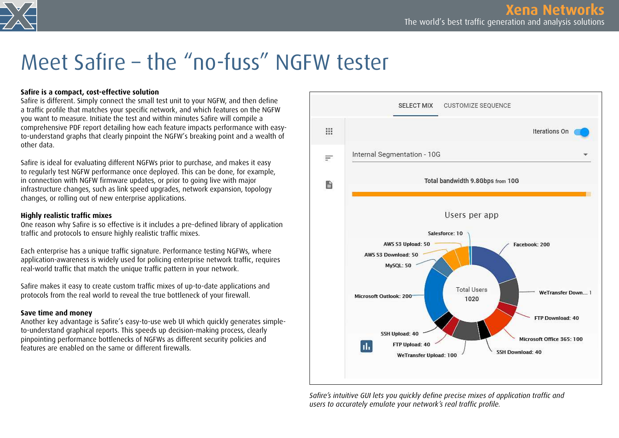

### Meet Safire – the "no-fuss" NGFW tester

#### Safire is a compact, cost-effective solution

Safire is different. Simply connect the small test unit to your NGFW, and then define a traffic profile that matches your specific network, and which features on the NGFW you want to measure. Initiate the test and within minutes Safire will compile a comprehensive PDF report detailing how each feature impacts performance with easyto-understand graphs that clearly pinpoint the NGFW's breaking point and a wealth of other data.

Safire is ideal for evaluating different NGFWs prior to purchase, and makes it easy to regularly test NGFW performance once deployed. This can be done, for example, in connection with NGFW firmware updates, or prior to going live with major infrastructure changes, such as link speed upgrades, network expansion, topology changes, or rolling out of new enterprise applications.

#### Highly realistic traffic mixes

One reason why Safire is so effective is it includes a pre-defined library of application traffic and protocols to ensure highly realistic traffic mixes.

Each enterprise has a unique traffic signature. Performance testing NGFWs, where application-awareness is widely used for policing enterprise network traffic, requires real-world traffic that match the unique traffic pattern in your network.

Safire makes it easy to create custom traffic mixes of up-to-date applications and protocols from the real world to reveal the true bottleneck of your firewall.

#### Save time and money

Another key advantage is Safire's easy-to-use web UI which quickly generates simpleto-understand graphical reports. This speeds up decision-making process, clearly pinpointing performance bottlenecks of NGFWs as different security policies and features are enabled on the same or different firewalls.



Safire's intuitive GUI lets you quickly define precise mixes of application traffic and users to accurately emulate your network's real traffic profile.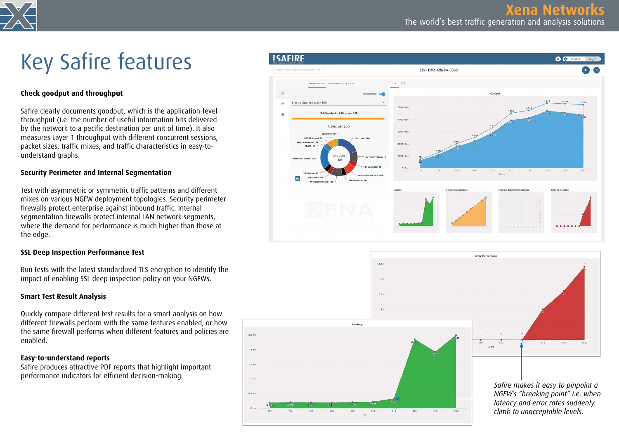

## Key Safire features

#### Check goodput and throughput

Safire clearly documents goodput, which is the application-level throughput (i.e. the number of useful information bits delivered by the network to a pecific destination per unit of time). It also measures Layer 1 throughput with different concurrent sessions, packet sizes, traffic mixes, and traffic characteristics in easy-tounderstand graphs.

#### Security Perimeter and Internal Segmentation

Test with asymmetric or symmetric traffic patterns and different mixes on various NGFW deployment topologies. Security perimeter firewalls protect enterprise against inbound traffic. Internal segmentation firewalls protect internal LAN network segments, where the demand for performance is much higher than those at the edge.

#### SSL Deep Inspection Performance Test

Run tests with the latest standardized TLS encryption to identify the impact of enabling SSL deep inspection policy on your NGFWs.

#### Smart Test Result Analysis

Quickly compare different test results for a smart analysis on how different firewalls perform with the same features enabled, or how the same firewall performs when different features and policies are enabled.

#### Easy-to-understand reports

Safire produces attractive PDF reports that highlight important performance indicators for efficient decision-making.